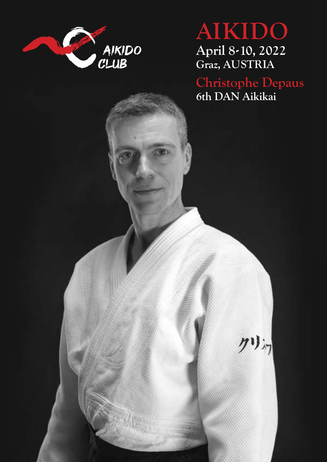

# **AIKIDO April 8-10, 2022 Graz, AUSTRIA**

**Christophe Depaus 6th DAN Aikikai**

州河